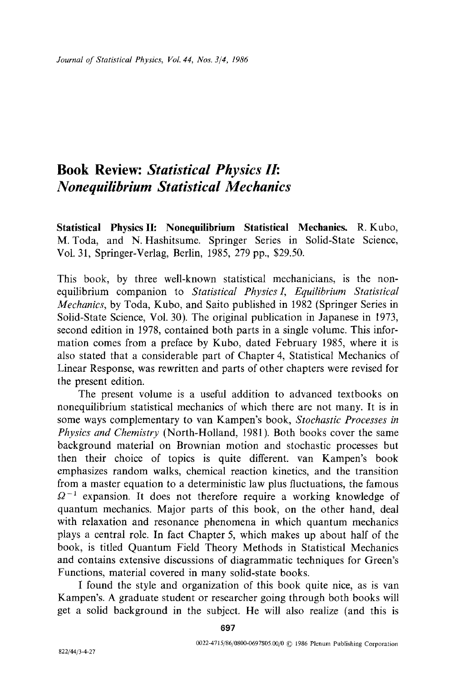## **Book Review:** *Statistical Physics II: Nonequilibrium Statistical Mechanics*

Statistical Physics II: Nonequilibrium Statistical Mechanics. R. Kubo, M. Toda, and N. Hashitsume. Springer Series in Solid-State Science, Vol. 31, Springer-Verlag, Berlin, 1985, 279 pp., \$29.50.

This book, by three well-known statistical mechanicians, is the nonequilibrium companion to *Statistical Physics I, Equilibrium Statistical Mechanics,* by Toda, Kubo, and Saito published in 1982 (Springer Series in Solid-State Science, Vol. 30). The original publication in Japanese in 1973, second edition in 1978, contained both parts in a single volume. This information comes from a preface by Kubo, dated February 1985, where it is also stated that a considerable part of Chapter 4, Statistical Mechanics of Linear Response, was rewritten and parts of other chapters were revised for the present edition.

The present volume is a useful addition to advanced textbooks on nonequilibrium statistical mechanics of which there are not many. It is in some ways complementary to van Kampen's book, *Stochastic Processes in Physics and Chemistry* (North-Holland, 1981). Both books cover the same background material on Brownian motion and stochastic processes but then their choice of topics is quite different, van Kampen's book emphasizes random walks, chemical reaction kinetics, and the transition from a master equation to a deterministic law plus fluctuations, the famous  $\Omega^{-1}$  expansion. It does not therefore require a working knowledge of quantum mechanics. Major parts of this book, on the other hand, deal with relaxation and resonance phenomena in which quantum mechanics plays a central role. In fact Chapter 5, which makes up about half of the book, is titled Quantum Field Theory Methods in Statistical Mechanics and contains extensive discussions of diagrammatic techniques for Green's Functions, material covered in many solid-state books.

I found the style and organization of this book quite nice, as is van Kampen's. A graduate student or researcher going through both books will get a solid background in the subject. He will also realize (and this is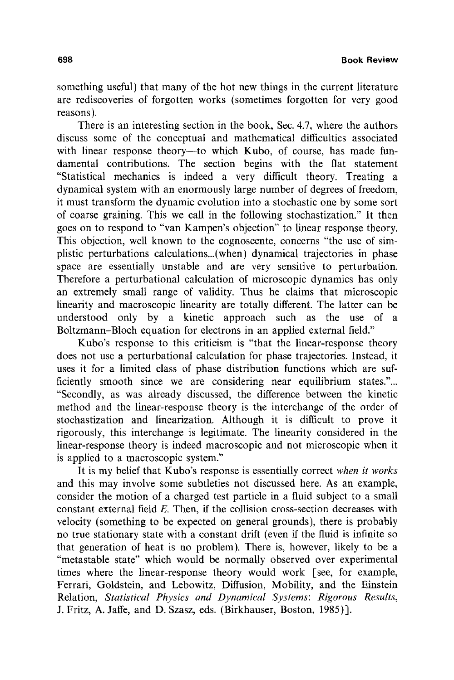something useful) that many of the hot new things in the current literature are rediscoveries of forgotten works (sometimes forgotten for very good reasons).

There is an interesting section in the book, Sec. 4.7, where the authors discuss some of the conceptual and mathematical difficulties associated with linear response theory—to which Kubo, of course, has made fundamental contributions. The section begins with the flat statement "Statistical mechanics is indeed a very difficult theory. Treating a dynamical system with an enormously large number of degrees of freedom, it must transform the dynamic evolution into a stochastic one by some sort of coarse graining. This we call in the following stochastization." It then goes on to respond to "van Kampen's objection" to linear response theory. This objection, well known to the cognoscente, concerns "the use of simplistic perturbations calculations...(when) dynamical trajectories in phase space are essentially unstable and are very sensitive to perturbation. Therefore a perturbational calculation of microscopic dynamics has only an extremely small range of validity. Thus he claims that microscopic linearity and macroscopic linearity are totally different. The latter can be understood only by a kinetic approach such as the use of a Boltzmann-Bloch equation for electrons in an applied external field."

Kubo's response to this criticism is "that the linear-response theory does not use a perturbational calculation for phase trajectories. Instead, it uses it for a limited class of phase distribution functions which are sufficiently smooth since we are considering near equilibrium states."... "Secondly, as was already discussed, the difference between the kinetic method and the linear-response theory is the interchange of the order of stoehastization and linearization. Although it is difficult to prove it rigorously, this interchange is legitimate. The linearity considered in the linear-response theory is indeed macroscopic and not microscopic when it is applied to a macroscopic system."

It is my belief that Kubo's response is essentially correct *when it works*  and this may involve some subtleties not discussed here. As an example, consider the motion of a charged test particle in a fluid subject to a small constant external field  $E$ . Then, if the collision cross-section decreases with velocity (something to be expected on general grounds), there is probably no true stationary state with a constant drift (even if the fluid is infinite so that generation of heat is no problem). There is, however, likely to be a "metastable state" which would be normally observed over experimental times where the linear-response theory would work [see, for example, Ferrari, Goldstein, and Lebowitz, Diffusion, Mobility, and the Einstein Relation, *Statistical Physics and Dynamical Systems: Rigorous Results,*  J. Fritz, A. Jaffe, and D. Szasz, eds. (Birkhauser, Boston, 1985)].